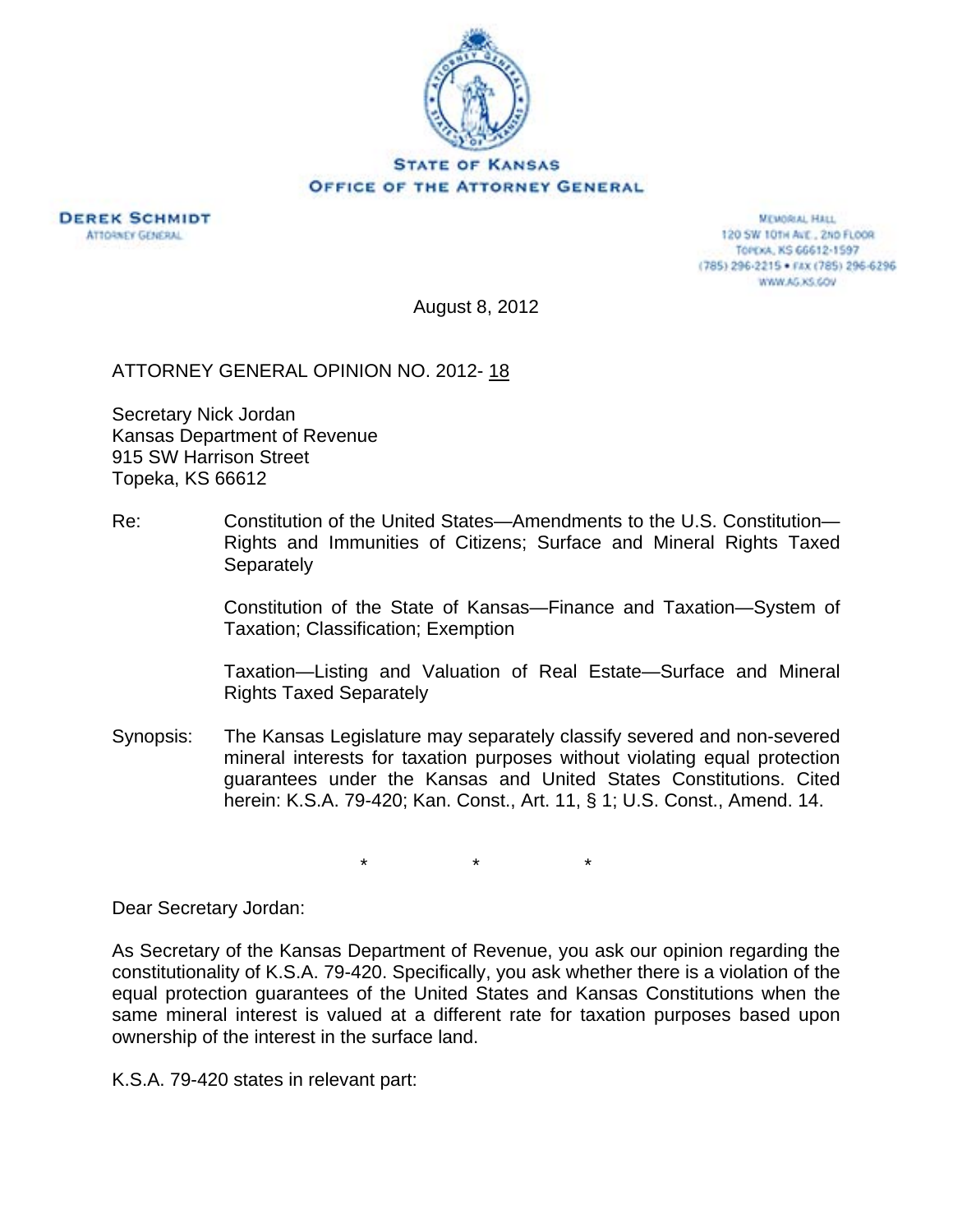



**MEMORIAL HALL** 120 SW 101H AVE., 2ND FLOOR TOPEXA, KS 66612-1597 (785) 296-2215 · FAX (785) 296-6296 WWW.AG.KS.GOV

August 8, 2012

ATTORNEY GENERAL OPINION NO. 2012- 18

Secretary Nick Jordan Kansas Department of Revenue 915 SW Harrison Street Topeka, KS 66612

Re: Constitution of the United States—Amendments to the U.S. Constitution— Rights and Immunities of Citizens; Surface and Mineral Rights Taxed **Separately** 

> Constitution of the State of Kansas—Finance and Taxation—System of Taxation; Classification; Exemption

> Taxation—Listing and Valuation of Real Estate—Surface and Mineral Rights Taxed Separately

Synopsis: The Kansas Legislature may separately classify severed and non-severed mineral interests for taxation purposes without violating equal protection guarantees under the Kansas and United States Constitutions. Cited herein: K.S.A. 79-420; Kan. Const., Art. 11, § 1; U.S. Const., Amend. 14.

\* \* \*

Dear Secretary Jordan:

As Secretary of the Kansas Department of Revenue, you ask our opinion regarding the constitutionality of K.S.A. 79-420. Specifically, you ask whether there is a violation of the equal protection guarantees of the United States and Kansas Constitutions when the same mineral interest is valued at a different rate for taxation purposes based upon ownership of the interest in the surface land.

K.S.A. 79-420 states in relevant part: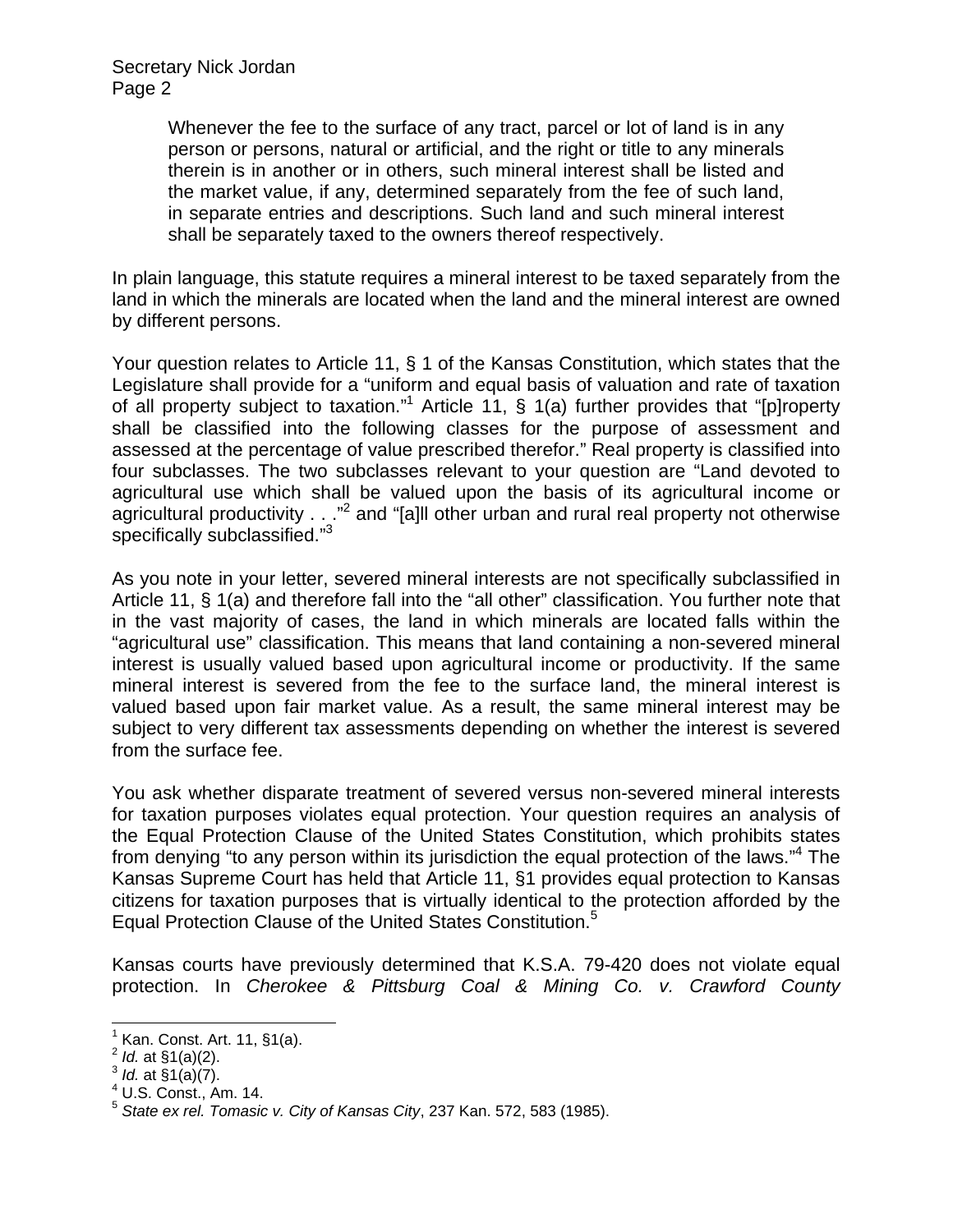Whenever the fee to the surface of any tract, parcel or lot of land is in any person or persons, natural or artificial, and the right or title to any minerals therein is in another or in others, such mineral interest shall be listed and the market value, if any, determined separately from the fee of such land, in separate entries and descriptions. Such land and such mineral interest shall be separately taxed to the owners thereof respectively.

In plain language, this statute requires a mineral interest to be taxed separately from the land in which the minerals are located when the land and the mineral interest are owned by different persons.

Your question relates to Article 11, § 1 of the Kansas Constitution, which states that the Legislature shall provide for a "uniform and equal basis of valuation and rate of taxation of all property subject to taxation."<sup>1</sup> Article 11, § 1(a) further provides that "[p]roperty shall be classified into the following classes for the purpose of assessment and assessed at the percentage of value prescribed therefor." Real property is classified into four subclasses. The two subclasses relevant to your question are "Land devoted to agricultural use which shall be valued upon the basis of its agricultural income or agricultural productivity . . ."<sup>2</sup> and "[a]ll other urban and rural real property not otherwise specifically subclassified."3

As you note in your letter, severed mineral interests are not specifically subclassified in Article 11, § 1(a) and therefore fall into the "all other" classification. You further note that in the vast majority of cases, the land in which minerals are located falls within the "agricultural use" classification. This means that land containing a non-severed mineral interest is usually valued based upon agricultural income or productivity. If the same mineral interest is severed from the fee to the surface land, the mineral interest is valued based upon fair market value. As a result, the same mineral interest may be subject to very different tax assessments depending on whether the interest is severed from the surface fee.

You ask whether disparate treatment of severed versus non-severed mineral interests for taxation purposes violates equal protection. Your question requires an analysis of the Equal Protection Clause of the United States Constitution, which prohibits states from denying "to any person within its jurisdiction the equal protection of the laws."<sup>4</sup> The Kansas Supreme Court has held that Article 11, §1 provides equal protection to Kansas citizens for taxation purposes that is virtually identical to the protection afforded by the Equal Protection Clause of the United States Constitution.<sup>5</sup>

Kansas courts have previously determined that K.S.A. 79-420 does not violate equal protection. In *Cherokee & Pittsburg Coal & Mining Co. v. Crawford County* 

 $\overline{\phantom{a}}$ 

<sup>1</sup> Kan. Const. Art. 11, §1(a).

 $\frac{2}{3}$  *Id.* at §1(a)(2).<br> $\frac{3}{3}$  *Id.* at §1(a)(7).

U.S. Const., Am. 14.

<sup>5</sup> *State ex rel. Tomasic v. City of Kansas City*, 237 Kan. 572, 583 (1985).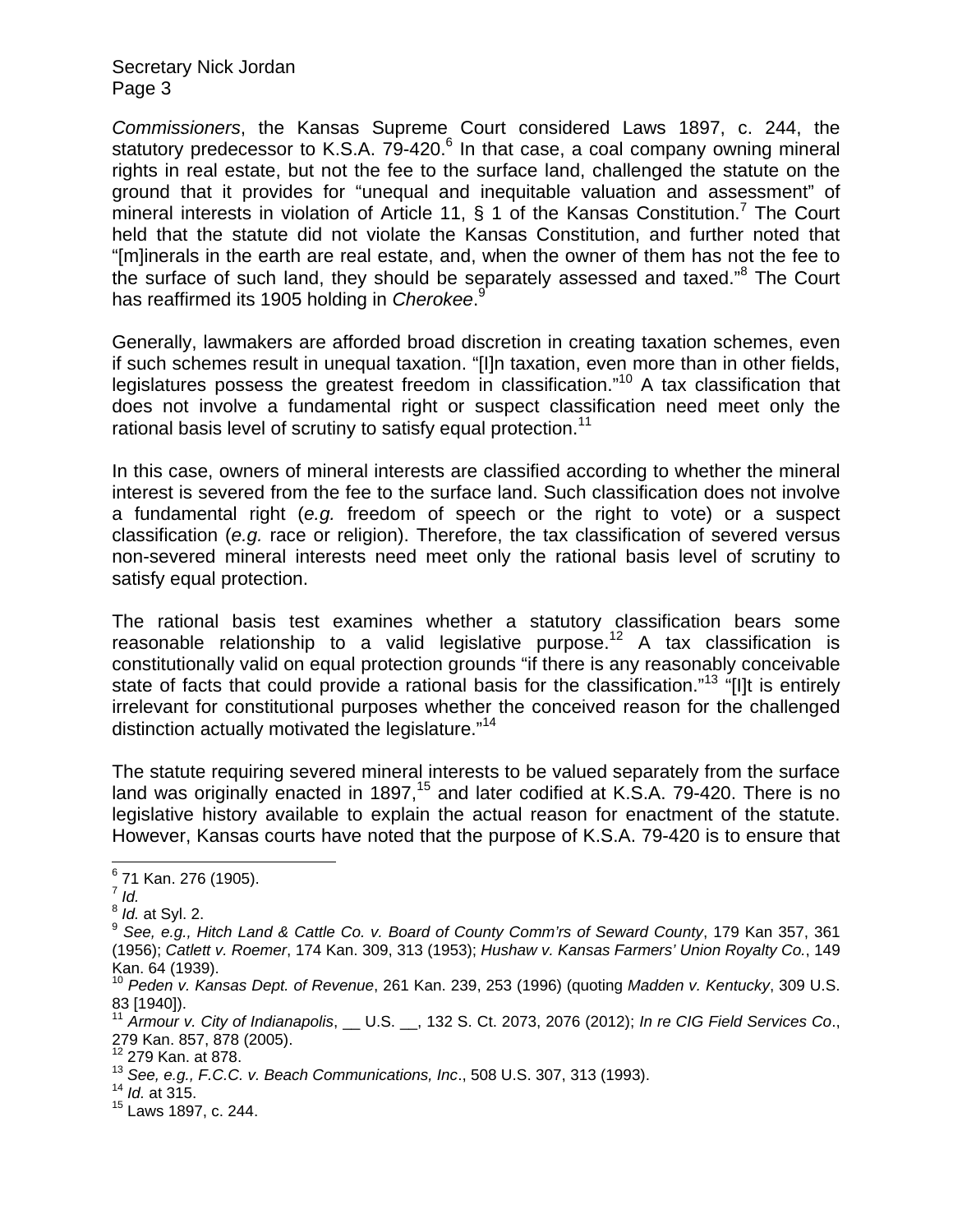Secretary Nick Jordan Page 3

*Commissioners*, the Kansas Supreme Court considered Laws 1897, c. 244, the statutory predecessor to K.S.A.  $79-420$ . $6$  In that case, a coal company owning mineral rights in real estate, but not the fee to the surface land, challenged the statute on the ground that it provides for "unequal and inequitable valuation and assessment" of mineral interests in violation of Article 11,  $\S$  1 of the Kansas Constitution.<sup>7</sup> The Court held that the statute did not violate the Kansas Constitution, and further noted that "[m]inerals in the earth are real estate, and, when the owner of them has not the fee to the surface of such land, they should be separately assessed and taxed."<sup>8</sup> The Court has reaffirmed its 1905 holding in *Cherokee*.<sup>9</sup>

Generally, lawmakers are afforded broad discretion in creating taxation schemes, even if such schemes result in unequal taxation. "[I]n taxation, even more than in other fields, legislatures possess the greatest freedom in classification."<sup>10</sup> A tax classification that does not involve a fundamental right or suspect classification need meet only the rational basis level of scrutiny to satisfy equal protection.<sup>11</sup>

In this case, owners of mineral interests are classified according to whether the mineral interest is severed from the fee to the surface land. Such classification does not involve a fundamental right (*e.g.* freedom of speech or the right to vote) or a suspect classification (*e.g.* race or religion). Therefore, the tax classification of severed versus non-severed mineral interests need meet only the rational basis level of scrutiny to satisfy equal protection.

The rational basis test examines whether a statutory classification bears some reasonable relationship to a valid legislative purpose.<sup>12</sup> A tax classification is constitutionally valid on equal protection grounds "if there is any reasonably conceivable state of facts that could provide a rational basis for the classification."<sup>13</sup> "[I]t is entirely irrelevant for constitutional purposes whether the conceived reason for the challenged distinction actually motivated the legislature."<sup>14</sup>

The statute requiring severed mineral interests to be valued separately from the surface land was originally enacted in 1897,<sup>15</sup> and later codified at K.S.A. 79-420. There is no legislative history available to explain the actual reason for enactment of the statute. However, Kansas courts have noted that the purpose of K.S.A. 79-420 is to ensure that

 $\overline{\phantom{a}}$ 

<sup>&</sup>lt;sup>6</sup> 71 Kan. 276 (1905).

<sup>7</sup> *Id.*<sup>8</sup> *Id.* at Syl. 2. 9 *See, e.g., Hitch Land & Cattle Co. v. Board of County Comm'rs of Seward County*, 179 Kan 357, 361 (1956); *Catlett v. Roemer*, 174 Kan. 309, 313 (1953); *Hushaw v. Kansas Farmers' Union Royalty Co.*, 149 Kan. 64 (1939).

<sup>10</sup> *Peden v. Kansas Dept. of Revenue*, 261 Kan. 239, 253 (1996) (quoting *Madden v. Kentucky*, 309 U.S. 83 [1940]).

<sup>11</sup> *Armour v. City of Indianapolis*, \_\_ U.S. \_\_, 132 S. Ct. 2073, 2076 (2012); *In re CIG Field Services Co*., 279 Kan. 857, 878 (2005).

<sup>12 279</sup> Kan. at 878.

<sup>13</sup> *See, e.g., F.C.C. v. Beach Communications, Inc*., 508 U.S. 307, 313 (1993). 14 *Id.* at 315.

<sup>15</sup> Laws 1897, c. 244.